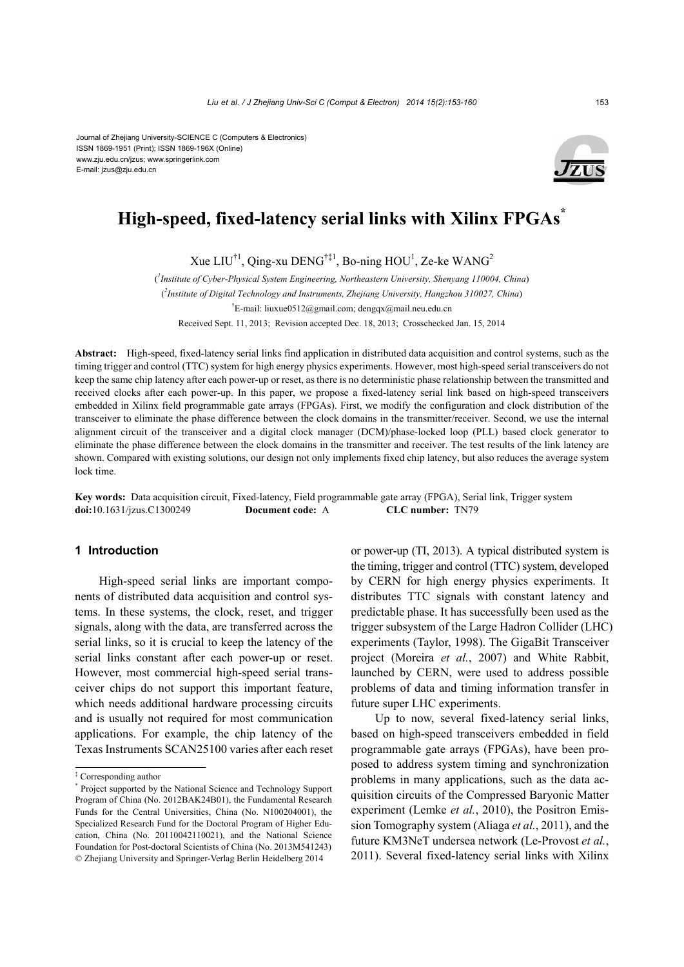#### Journal of Zhejiang University-SCIENCE C (Computers & Electronics) ISSN 1869-1951 (Print); ISSN 1869-196X (Online) www.zju.edu.cn/jzus; www.springerlink.com E-mail: jzus@zju.edu.cn



# **High-speed, fixed-latency serial links with Xilinx FPGAs\***

Xue LIU<sup>†1</sup>, Qing-xu DENG<sup>†‡1</sup>, Bo-ning HOU<sup>1</sup>, Ze-ke WANG<sup>2</sup>

( *1 Institute of Cyber-Physical System Engineering, Northeastern University, Shenyang 110004, China*) ( *2 Institute of Digital Technology and Instruments, Zhejiang University, Hangzhou 310027, China*) † E-mail: liuxue0512@gmail.com; dengqx@mail.neu.edu.cn

Received Sept. 11, 2013; Revision accepted Dec. 18, 2013; Crosschecked Jan. 15, 2014

**Abstract:** High-speed, fixed-latency serial links find application in distributed data acquisition and control systems, such as the timing trigger and control (TTC) system for high energy physics experiments. However, most high-speed serial transceivers do not keep the same chip latency after each power-up or reset, as there is no deterministic phase relationship between the transmitted and received clocks after each power-up. In this paper, we propose a fixed-latency serial link based on high-speed transceivers embedded in Xilinx field programmable gate arrays (FPGAs). First, we modify the configuration and clock distribution of the transceiver to eliminate the phase difference between the clock domains in the transmitter/receiver. Second, we use the internal alignment circuit of the transceiver and a digital clock manager (DCM)/phase-locked loop (PLL) based clock generator to eliminate the phase difference between the clock domains in the transmitter and receiver. The test results of the link latency are shown. Compared with existing solutions, our design not only implements fixed chip latency, but also reduces the average system lock time.

**Key words:** Data acquisition circuit, Fixed-latency, Field programmable gate array (FPGA), Serial link, Trigger system **doi:**10.1631/jzus.C1300249 **Document code:** A **CLC number:** TN79

# **1 Introduction**

High-speed serial links are important components of distributed data acquisition and control systems. In these systems, the clock, reset, and trigger signals, along with the data, are transferred across the serial links, so it is crucial to keep the latency of the serial links constant after each power-up or reset. However, most commercial high-speed serial transceiver chips do not support this important feature, which needs additional hardware processing circuits and is usually not required for most communication applications. For example, the chip latency of the Texas Instruments SCAN25100 varies after each reset or power-up (TI, 2013). A typical distributed system is the timing, trigger and control (TTC) system, developed by CERN for high energy physics experiments. It distributes TTC signals with constant latency and predictable phase. It has successfully been used as the trigger subsystem of the Large Hadron Collider (LHC) experiments (Taylor, 1998). The GigaBit Transceiver project (Moreira *et al.*, 2007) and White Rabbit, launched by CERN, were used to address possible problems of data and timing information transfer in future super LHC experiments.

Up to now, several fixed-latency serial links, based on high-speed transceivers embedded in field programmable gate arrays (FPGAs), have been proposed to address system timing and synchronization problems in many applications, such as the data acquisition circuits of the Compressed Baryonic Matter experiment (Lemke *et al.*, 2010), the Positron Emission Tomography system (Aliaga *et al.*, 2011), and the future KM3NeT undersea network (Le-Provost *et al.*, 2011). Several fixed-latency serial links with Xilinx

<sup>‡</sup> Corresponding author

<sup>\*</sup> Project supported by the National Science and Technology Support Program of China (No. 2012BAK24B01), the Fundamental Research Funds for the Central Universities, China (No. N100204001), the Specialized Research Fund for the Doctoral Program of Higher Education, China (No. 20110042110021), and the National Science Foundation for Post-doctoral Scientists of China (No. 2013M541243) © Zhejiang University and Springer-Verlag Berlin Heidelberg 2014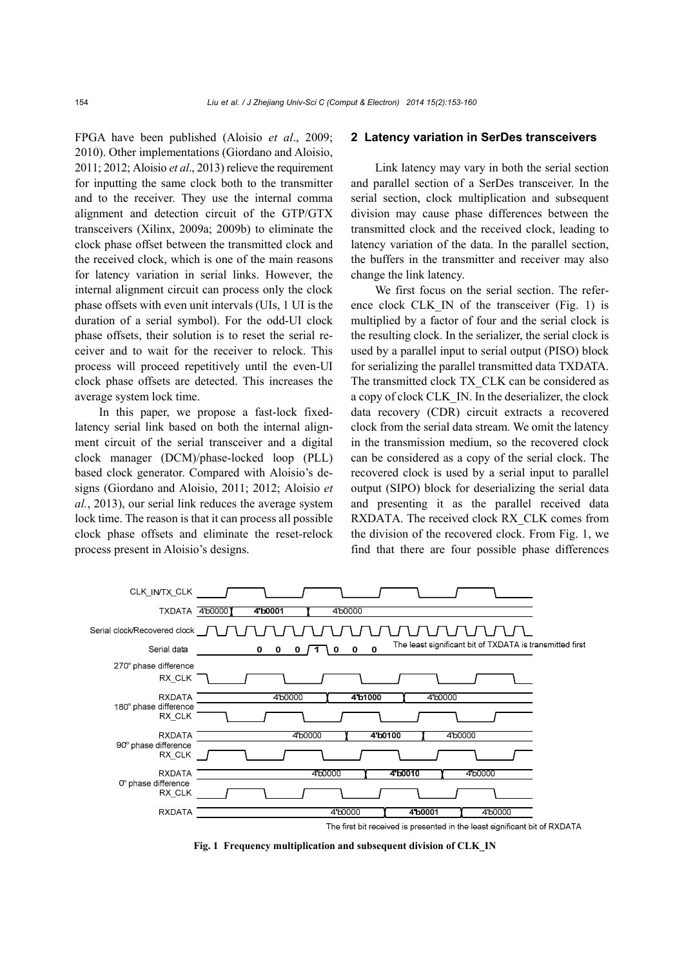FPGA have been published (Aloisio *et al*., 2009; 2010). Other implementations (Giordano and Aloisio, 2011; 2012; Aloisio *et al*., 2013) relieve the requirement for inputting the same clock both to the transmitter and to the receiver. They use the internal comma alignment and detection circuit of the GTP/GTX transceivers (Xilinx, 2009a; 2009b) to eliminate the clock phase offset between the transmitted clock and the received clock, which is one of the main reasons for latency variation in serial links. However, the internal alignment circuit can process only the clock phase offsets with even unit intervals (UIs, 1 UI is the duration of a serial symbol). For the odd-UI clock phase offsets, their solution is to reset the serial receiver and to wait for the receiver to relock. This process will proceed repetitively until the even-UI clock phase offsets are detected. This increases the average system lock time.

In this paper, we propose a fast-lock fixedlatency serial link based on both the internal alignment circuit of the serial transceiver and a digital clock manager (DCM)/phase-locked loop (PLL) based clock generator. Compared with Aloisio's designs (Giordano and Aloisio, 2011; 2012; Aloisio *et al.*, 2013), our serial link reduces the average system lock time. The reason is that it can process all possible clock phase offsets and eliminate the reset-relock process present in Aloisio's designs.

# **2 Latency variation in SerDes transceivers**

Link latency may vary in both the serial section and parallel section of a SerDes transceiver. In the serial section, clock multiplication and subsequent division may cause phase differences between the transmitted clock and the received clock, leading to latency variation of the data. In the parallel section, the buffers in the transmitter and receiver may also change the link latency.

We first focus on the serial section. The reference clock CLK\_IN of the transceiver (Fig. 1) is multiplied by a factor of four and the serial clock is the resulting clock. In the serializer, the serial clock is used by a parallel input to serial output (PISO) block for serializing the parallel transmitted data TXDATA. The transmitted clock TX\_CLK can be considered as a copy of clock CLK\_IN. In the deserializer, the clock data recovery (CDR) circuit extracts a recovered clock from the serial data stream. We omit the latency in the transmission medium, so the recovered clock can be considered as a copy of the serial clock. The recovered clock is used by a serial input to parallel output (SIPO) block for deserializing the serial data and presenting it as the parallel received data RXDATA. The received clock RX\_CLK comes from the division of the recovered clock. From Fig. 1, we find that there are four possible phase differences



**Fig. 1 Frequency multiplication and subsequent division of CLK\_IN**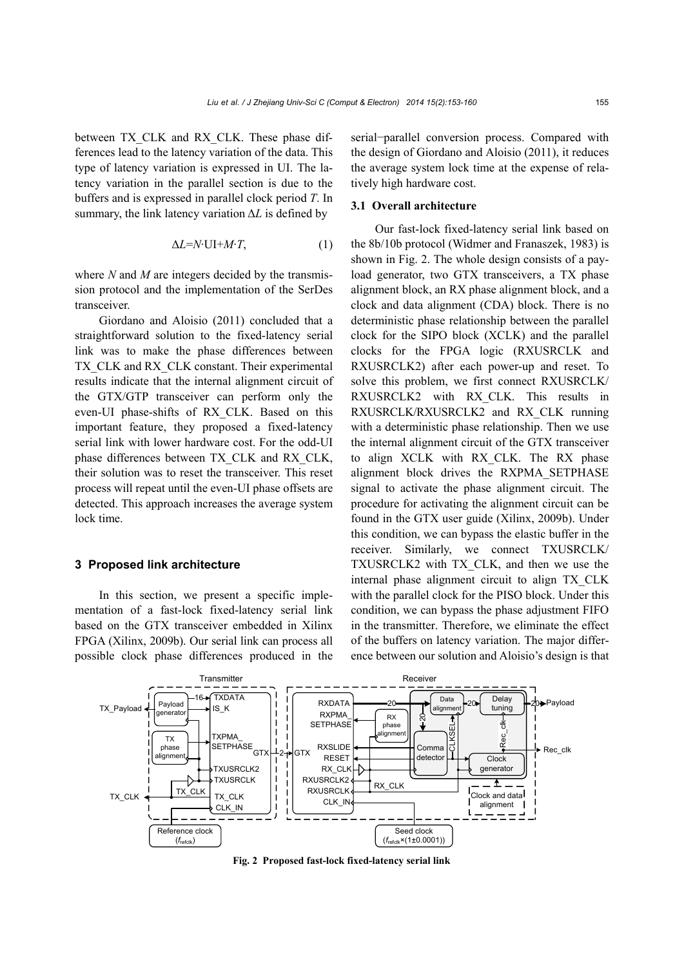between TX\_CLK and RX\_CLK. These phase differences lead to the latency variation of the data. This type of latency variation is expressed in UI. The latency variation in the parallel section is due to the buffers and is expressed in parallel clock period *T*. In summary, the link latency variation Δ*L* is defined by

$$
\Delta L = N \cdot \text{UI} + M \cdot T,\tag{1}
$$

where *N* and *M* are integers decided by the transmission protocol and the implementation of the SerDes transceiver.

Giordano and Aloisio (2011) concluded that a straightforward solution to the fixed-latency serial link was to make the phase differences between TX\_CLK and RX\_CLK constant. Their experimental results indicate that the internal alignment circuit of the GTX/GTP transceiver can perform only the even-UI phase-shifts of RX\_CLK. Based on this important feature, they proposed a fixed-latency serial link with lower hardware cost. For the odd-UI phase differences between TX\_CLK and RX\_CLK, their solution was to reset the transceiver. This reset process will repeat until the even-UI phase offsets are detected. This approach increases the average system lock time.

# **3 Proposed link architecture**

In this section, we present a specific implementation of a fast-lock fixed-latency serial link based on the GTX transceiver embedded in Xilinx FPGA (Xilinx, 2009b). Our serial link can process all possible clock phase differences produced in the serial−parallel conversion process. Compared with the design of Giordano and Aloisio (2011), it reduces the average system lock time at the expense of relatively high hardware cost.

# **3.1 Overall architecture**

Our fast-lock fixed-latency serial link based on the 8b/10b protocol (Widmer and Franaszek, 1983) is shown in Fig. 2. The whole design consists of a payload generator, two GTX transceivers, a TX phase alignment block, an RX phase alignment block, and a clock and data alignment (CDA) block. There is no deterministic phase relationship between the parallel clock for the SIPO block (XCLK) and the parallel clocks for the FPGA logic (RXUSRCLK and RXUSRCLK2) after each power-up and reset. To solve this problem, we first connect RXUSRCLK/ RXUSRCLK2 with RX\_CLK. This results in RXUSRCLK/RXUSRCLK2 and RX\_CLK running with a deterministic phase relationship. Then we use the internal alignment circuit of the GTX transceiver to align XCLK with RX\_CLK. The RX phase alignment block drives the RXPMA\_SETPHASE signal to activate the phase alignment circuit. The procedure for activating the alignment circuit can be found in the GTX user guide (Xilinx, 2009b). Under this condition, we can bypass the elastic buffer in the receiver. Similarly, we connect TXUSRCLK/ TXUSRCLK2 with TX\_CLK, and then we use the internal phase alignment circuit to align TX\_CLK with the parallel clock for the PISO block. Under this condition, we can bypass the phase adjustment FIFO in the transmitter. Therefore, we eliminate the effect of the buffers on latency variation. The major difference between our solution and Aloisio's design is that



**Fig. 2 Proposed fast-lock fixed-latency serial link**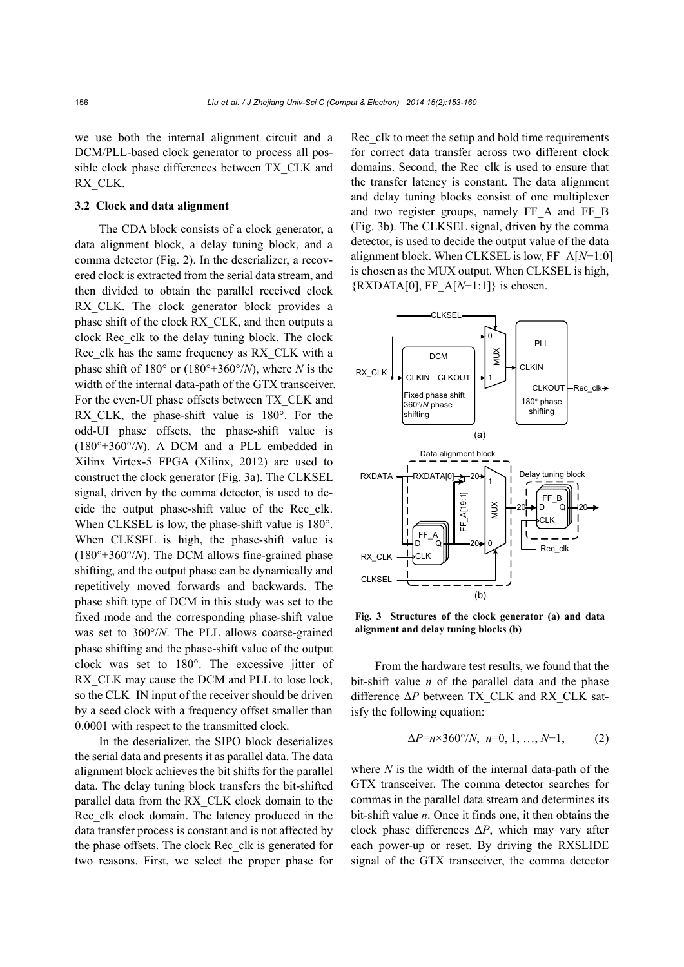we use both the internal alignment circuit and a DCM/PLL-based clock generator to process all possible clock phase differences between TX\_CLK and RX\_CLK.

# **3.2 Clock and data alignment**

The CDA block consists of a clock generator, a data alignment block, a delay tuning block, and a comma detector (Fig. 2). In the deserializer, a recovered clock is extracted from the serial data stream, and then divided to obtain the parallel received clock RX\_CLK. The clock generator block provides a phase shift of the clock RX\_CLK, and then outputs a clock Rec\_clk to the delay tuning block. The clock Rec\_clk has the same frequency as RX\_CLK with a phase shift of  $180^{\circ}$  or  $(180^{\circ}+360^{\circ}/N)$ , where *N* is the width of the internal data-path of the GTX transceiver. For the even-UI phase offsets between TX\_CLK and RX CLK, the phase-shift value is  $180^\circ$ . For the odd-UI phase offsets, the phase-shift value is (180°+360°/*N*). A DCM and a PLL embedded in Xilinx Virtex-5 FPGA (Xilinx, 2012) are used to construct the clock generator (Fig. 3a). The CLKSEL signal, driven by the comma detector, is used to decide the output phase-shift value of the Rec\_clk. When CLKSEL is low, the phase-shift value is 180°. When CLKSEL is high, the phase-shift value is (180°+360°/*N*). The DCM allows fine-grained phase shifting, and the output phase can be dynamically and repetitively moved forwards and backwards. The phase shift type of DCM in this study was set to the fixed mode and the corresponding phase-shift value was set to 360°/*N*. The PLL allows coarse-grained phase shifting and the phase-shift value of the output clock was set to 180°. The excessive jitter of RX CLK may cause the DCM and PLL to lose lock, so the CLK\_IN input of the receiver should be driven by a seed clock with a frequency offset smaller than 0.0001 with respect to the transmitted clock.

In the deserializer, the SIPO block deserializes the serial data and presents it as parallel data. The data alignment block achieves the bit shifts for the parallel data. The delay tuning block transfers the bit-shifted parallel data from the RX\_CLK clock domain to the Rec\_clk clock domain. The latency produced in the data transfer process is constant and is not affected by the phase offsets. The clock Rec\_clk is generated for two reasons. First, we select the proper phase for Rec\_clk to meet the setup and hold time requirements for correct data transfer across two different clock domains. Second, the Rec\_clk is used to ensure that the transfer latency is constant. The data alignment and delay tuning blocks consist of one multiplexer and two register groups, namely FF\_A and FF\_B (Fig. 3b). The CLKSEL signal, driven by the comma detector, is used to decide the output value of the data alignment block. When CLKSEL is low, FF\_A[*N*−1:0] is chosen as the MUX output. When CLKSEL is high, {RXDATA[0], FF\_A[*N*−1:1]} is chosen.



**Fig. 3 Structures of the clock generator (a) and data alignment and delay tuning blocks (b)**

From the hardware test results, we found that the bit-shift value *n* of the parallel data and the phase difference Δ*P* between TX\_CLK and RX\_CLK satisfy the following equation:

$$
\Delta P = n \times 360^{\circ}/N, n = 0, 1, ..., N-1,
$$
 (2)

where *N* is the width of the internal data-path of the GTX transceiver. The comma detector searches for commas in the parallel data stream and determines its bit-shift value *n*. Once it finds one, it then obtains the clock phase differences Δ*P*, which may vary after each power-up or reset. By driving the RXSLIDE signal of the GTX transceiver, the comma detector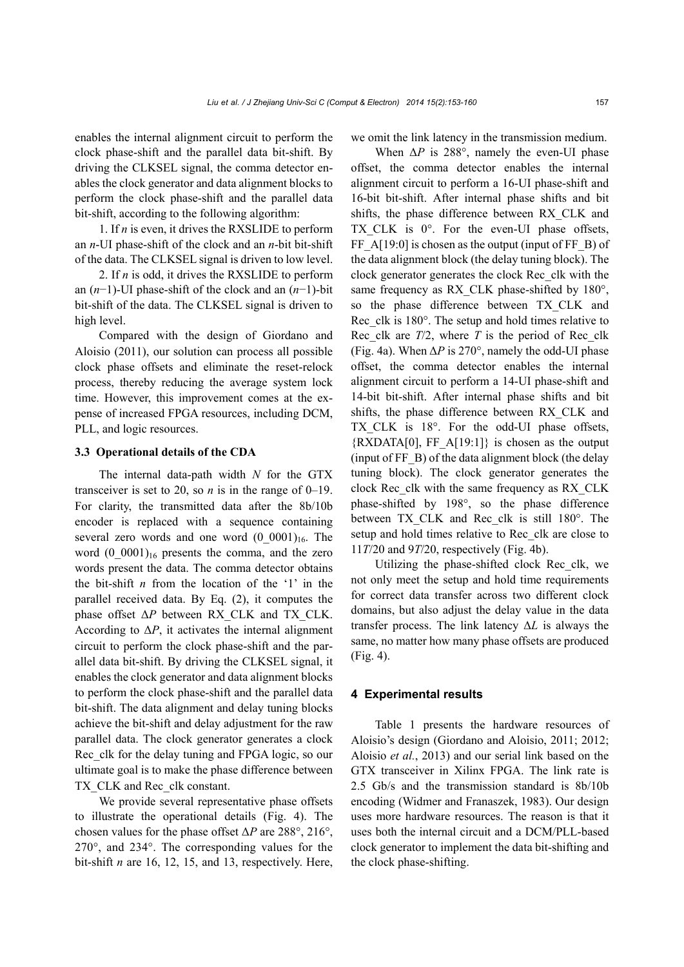enables the internal alignment circuit to perform the clock phase-shift and the parallel data bit-shift. By driving the CLKSEL signal, the comma detector enables the clock generator and data alignment blocks to perform the clock phase-shift and the parallel data bit-shift, according to the following algorithm:

1. If *n* is even, it drives the RXSLIDE to perform an *n*-UI phase-shift of the clock and an *n*-bit bit-shift of the data. The CLKSEL signal is driven to low level.

2. If *n* is odd, it drives the RXSLIDE to perform an (*n*−1)-UI phase-shift of the clock and an (*n*−1)-bit bit-shift of the data. The CLKSEL signal is driven to high level.

Compared with the design of Giordano and Aloisio (2011), our solution can process all possible clock phase offsets and eliminate the reset-relock process, thereby reducing the average system lock time. However, this improvement comes at the expense of increased FPGA resources, including DCM, PLL, and logic resources.

# **3.3 Operational details of the CDA**

The internal data-path width *N* for the GTX transceiver is set to 20, so *n* is in the range of 0–19. For clarity, the transmitted data after the 8b/10b encoder is replaced with a sequence containing several zero words and one word  $(0\ 0001)_{16}$ . The word  $(0 \tcdot 0001)_{16}$  presents the comma, and the zero words present the data. The comma detector obtains the bit-shift *n* from the location of the '1' in the parallel received data. By Eq. (2), it computes the phase offset Δ*P* between RX\_CLK and TX\_CLK. According to  $\Delta P$ , it activates the internal alignment circuit to perform the clock phase-shift and the parallel data bit-shift. By driving the CLKSEL signal, it enables the clock generator and data alignment blocks to perform the clock phase-shift and the parallel data bit-shift. The data alignment and delay tuning blocks achieve the bit-shift and delay adjustment for the raw parallel data. The clock generator generates a clock Rec\_clk for the delay tuning and FPGA logic, so our ultimate goal is to make the phase difference between TX CLK and Rec\_clk constant.

We provide several representative phase offsets to illustrate the operational details (Fig. 4). The chosen values for the phase offset Δ*P* are 288°, 216°, 270°, and 234°. The corresponding values for the bit-shift *n* are 16, 12, 15, and 13, respectively. Here, we omit the link latency in the transmission medium.

When  $\Delta P$  is 288°, namely the even-UI phase offset, the comma detector enables the internal alignment circuit to perform a 16-UI phase-shift and 16-bit bit-shift. After internal phase shifts and bit shifts, the phase difference between RX\_CLK and TX CLK is  $0^\circ$ . For the even-UI phase offsets, FF  $A[19:0]$  is chosen as the output (input of FF  $\,$  B) of the data alignment block (the delay tuning block). The clock generator generates the clock Rec\_clk with the same frequency as RX\_CLK phase-shifted by 180°, so the phase difference between TX\_CLK and Rec\_clk is 180°. The setup and hold times relative to Rec clk are  $T/2$ , where  $T$  is the period of Rec clk (Fig. 4a). When  $\Delta P$  is 270°, namely the odd-UI phase offset, the comma detector enables the internal alignment circuit to perform a 14-UI phase-shift and 14-bit bit-shift. After internal phase shifts and bit shifts, the phase difference between RX\_CLK and TX CLK is 18°. For the odd-UI phase offsets,  ${RXDATA[0], FF A[19:1]}$  is chosen as the output (input of FF\_B) of the data alignment block (the delay tuning block). The clock generator generates the clock Rec\_clk with the same frequency as RX\_CLK phase-shifted by 198°, so the phase difference between TX CLK and Rec clk is still 180°. The setup and hold times relative to Rec\_clk are close to 11*T*/20 and 9*T*/20, respectively (Fig. 4b).

Utilizing the phase-shifted clock Rec\_clk, we not only meet the setup and hold time requirements for correct data transfer across two different clock domains, but also adjust the delay value in the data transfer process. The link latency Δ*L* is always the same, no matter how many phase offsets are produced (Fig. 4).

#### **4 Experimental results**

Table 1 presents the hardware resources of Aloisio's design (Giordano and Aloisio, 2011; 2012; Aloisio *et al.*, 2013) and our serial link based on the GTX transceiver in Xilinx FPGA. The link rate is 2.5 Gb/s and the transmission standard is 8b/10b encoding (Widmer and Franaszek, 1983). Our design uses more hardware resources. The reason is that it uses both the internal circuit and a DCM/PLL-based clock generator to implement the data bit-shifting and the clock phase-shifting.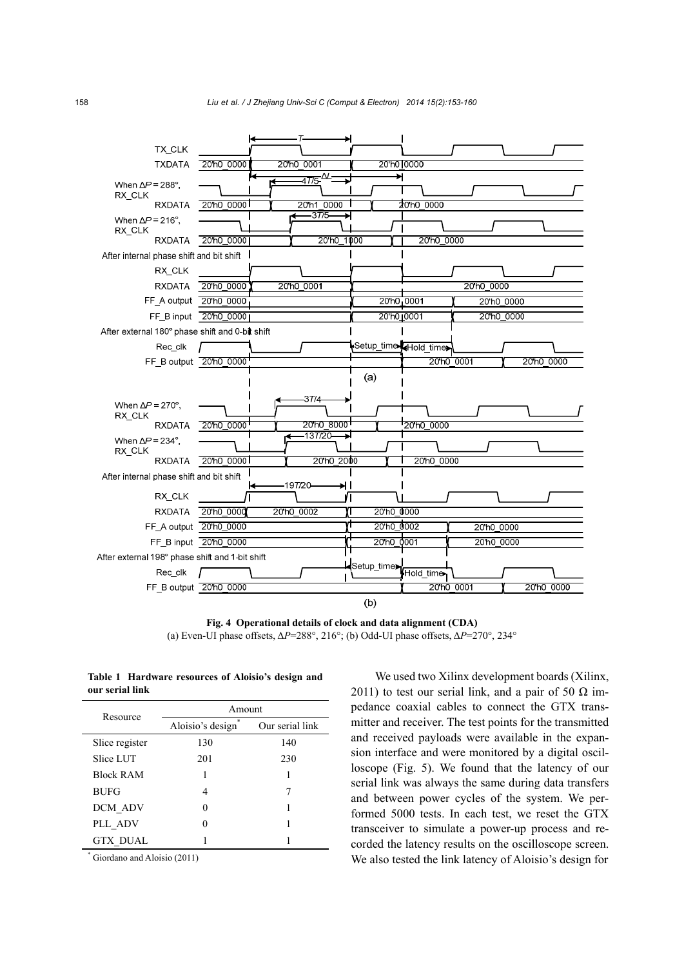

**Fig. 4 Operational details of clock and data alignment (CDA)**  (a) Even-UI phase offsets, Δ*P*=288°, 216°; (b) Odd-UI phase offsets, Δ*P*=270°, 234°

**Table 1 Hardware resources of Aloisio's design and our serial link** 

| Resource         | Amount           |                 |
|------------------|------------------|-----------------|
|                  | Aloisio's design | Our serial link |
| Slice register   | 130              | 140             |
| Slice LUT        | 201              | 230             |
| <b>Block RAM</b> |                  |                 |
| <b>BUFG</b>      | 4                |                 |
| DCM ADV          |                  |                 |
| PLL ADV          |                  |                 |
| <b>GTX DUAL</b>  |                  |                 |

\* Giordano and Aloisio (2011)

We used two Xilinx development boards (Xilinx, 2011) to test our serial link, and a pair of 50  $\Omega$  impedance coaxial cables to connect the GTX transmitter and receiver. The test points for the transmitted and received payloads were available in the expansion interface and were monitored by a digital oscilloscope (Fig. 5). We found that the latency of our serial link was always the same during data transfers and between power cycles of the system. We performed 5000 tests. In each test, we reset the GTX transceiver to simulate a power-up process and recorded the latency results on the oscilloscope screen. We also tested the link latency of Aloisio's design for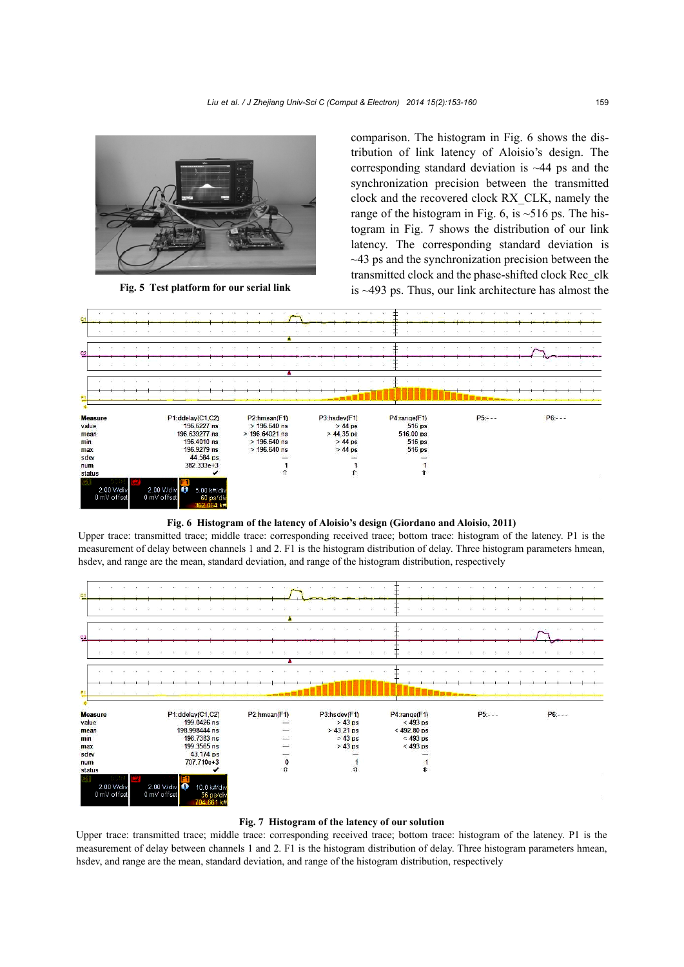

comparison. The histogram in Fig. 6 shows the distribution of link latency of Aloisio's design. The corresponding standard deviation is  $\sim$ 44 ps and the synchronization precision between the transmitted clock and the recovered clock RX\_CLK, namely the range of the histogram in Fig. 6, is  $\sim$  516 ps. The histogram in Fig. 7 shows the distribution of our link latency. The corresponding standard deviation is  $\sim$ 43 ps and the synchronization precision between the transmitted clock and the phase-shifted clock Rec\_clk **Fig. 5 Test platform for our serial link** is ~493 ps. Thus, our link architecture has almost the



**Fig. 6 Histogram of the latency of Aloisio's design (Giordano and Aloisio, 2011)** 

Upper trace: transmitted trace; middle trace: corresponding received trace; bottom trace: histogram of the latency. P1 is the measurement of delay between channels 1 and 2. F1 is the histogram distribution of delay. Three histogram parameters hmean, hsdev, and range are the mean, standard deviation, and range of the histogram distribution, respectively



### **Fig. 7 Histogram of the latency of our solution**

Upper trace: transmitted trace; middle trace: corresponding received trace; bottom trace: histogram of the latency. P1 is the measurement of delay between channels 1 and 2. F1 is the histogram distribution of delay. Three histogram parameters hmean, hsdev, and range are the mean, standard deviation, and range of the histogram distribution, respectively